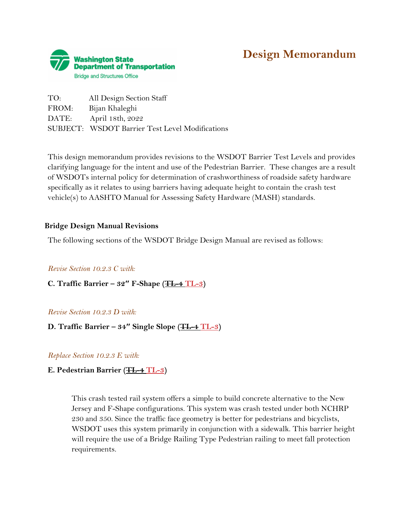

# **Design Memorandum**

TO: All Design Section Staff FROM: Bijan Khaleghi DATE: April 18th, 2022 SUBJECT: WSDOT Barrier Test Level Modifications

This design memorandum provides revisions to the WSDOT Barrier Test Levels and provides clarifying language for the intent and use of the Pedestrian Barrier. These changes are a result of WSDOTs internal policy for determination of crashworthiness of roadside safety hardware specifically as it relates to using barriers having adequate height to contain the crash test vehicle(s) to AASHTO Manual for Assessing Safety Hardware (MASH) standards.

## **Bridge Design Manual Revisions**

The following sections of the WSDOT Bridge Design Manual are revised as follows:

### *Revise Section 10.2.3 C with:*

**C. Traffic Barrier – 32″ F-Shape (TL-4 TL-3)** 

### *Revise Section 10.2.3 D with:*

## **D. Traffic Barrier – 34″ Single Slope (TL-4 TL-3)**

*Replace Section 10.2.3 E with:*

### **E. Pedestrian Barrier (TL-4 TL-3)**

This crash tested rail system offers a simple to build concrete alternative to the New Jersey and F-Shape configurations. This system was crash tested under both NCHRP 230 and 350. Since the traffic face geometry is better for pedestrians and bicyclists, WSDOT uses this system primarily in conjunction with a sidewalk. This barrier height will require the use of a Bridge Railing Type Pedestrian railing to meet fall protection requirements.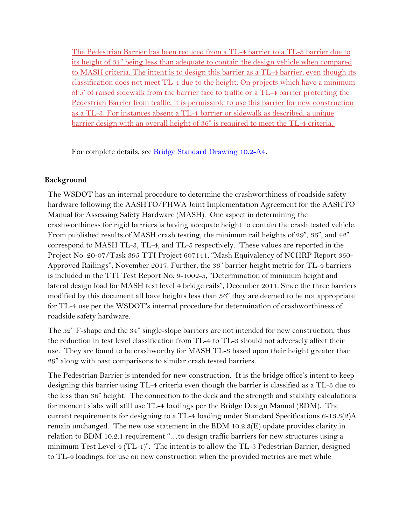The Pedestrian Barrier has been reduced from a TL-4 barrier to a TL-3 barrier due to its height of 34" being less than adequate to contain the design vehicle when compared to MASH criteria. The intent is to design this barrier as a TL-4 barrier, even though its classification does not meet TL-4 due to the height. On projects which have a minimum of 5' of raised sidewalk from the barrier face to traffic or a TL-4 barrier protecting the Pedestrian Barrier from traffic, it is permissible to use this barrier for new construction as a TL-3. For instances absent a TL-4 barrier or sidewalk as described, a unique barrier design with an overall height of 36" is required to meet the TL-4 criteria.

For complete details, see [Bridge Standard Drawing 10.2-A4.](https://wsdot.wa.gov/engineering-standards/design-topics/walls-buried-structures-bearings-other-structural-elements#StandardPlans)

## **Background**

The WSDOT has an internal procedure to determine the crashworthiness of roadside safety hardware following the AASHTO/FHWA Joint Implementation Agreement for the AASHTO Manual for Assessing Safety Hardware (MASH). One aspect in determining the crashworthiness for rigid barriers is having adequate height to contain the crash tested vehicle. From published results of MASH crash testing, the minimum rail heights of 29", 36", and 42" correspond to MASH TL-3, TL-4, and TL-5 respectively. These values are reported in the Project No. 20-07/Task 395 TTI Project 607141, "Mash Equivalency of NCHRP Report 350- Approved Railings", November 2017. Further, the 36" barrier height metric for TL-4 barriers is included in the TTI Test Report No. 9-1002-5, "Determination of minimum height and lateral design load for MASH test level 4 bridge rails", December 2011. Since the three barriers modified by this document all have heights less than 36" they are deemed to be not appropriate for TL-4 use per the WSDOT's internal procedure for determination of crashworthiness of roadside safety hardware.

The 32" F-shape and the 34" single-slope barriers are not intended for new construction, thus the reduction in test level classification from TL-4 to TL-3 should not adversely affect their use. They are found to be crashworthy for MASH TL-3 based upon their height greater than 29" along with past comparisons to similar crash tested barriers.

The Pedestrian Barrier is intended for new construction. It is the bridge office's intent to keep designing this barrier using TL-4 criteria even though the barrier is classified as a TL-3 due to the less than 36" height. The connection to the deck and the strength and stability calculations for moment slabs will still use TL-4 loadings per the Bridge Design Manual (BDM). The current requirements for designing to a TL-4 loading under Standard Specifications 6-13.3(2)A remain unchanged. The new use statement in the BDM 10.2.3(E) update provides clarity in relation to BDM 10.2.1 requirement "…to design traffic barriers for new structures using a minimum Test Level 4 (TL-4)". The intent is to allow the TL-3 Pedestrian Barrier, designed to TL-4 loadings, for use on new construction when the provided metrics are met while